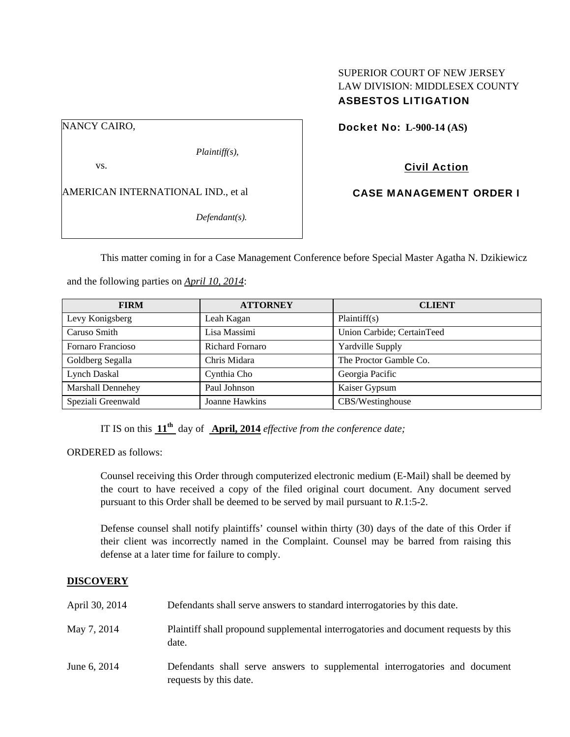## SUPERIOR COURT OF NEW JERSEY LAW DIVISION: MIDDLESEX COUNTY ASBESTOS LITIGATION

NANCY CAIRO,

*Plaintiff(s),* 

vs.

AMERICAN INTERNATIONAL IND., et al

*Defendant(s).* 

Docket No: **L-900-14 (AS)** 

Civil Action

CASE MANAGEMENT ORDER I

This matter coming in for a Case Management Conference before Special Master Agatha N. Dzikiewicz

and the following parties on *April 10, 2014*:

| <b>FIRM</b>              | <b>ATTORNEY</b>        | <b>CLIENT</b>              |
|--------------------------|------------------------|----------------------------|
| Levy Konigsberg          | Leah Kagan             | Plaintiff(s)               |
| Caruso Smith             | Lisa Massimi           | Union Carbide; CertainTeed |
| Fornaro Francioso        | <b>Richard Fornaro</b> | Yardville Supply           |
| Goldberg Segalla         | Chris Midara           | The Proctor Gamble Co.     |
| Lynch Daskal             | Cynthia Cho            | Georgia Pacific            |
| <b>Marshall Dennehey</b> | Paul Johnson           | Kaiser Gypsum              |
| Speziali Greenwald       | Joanne Hawkins         | CBS/Westinghouse           |

IT IS on this **11th** day of **April, 2014** *effective from the conference date;*

ORDERED as follows:

Counsel receiving this Order through computerized electronic medium (E-Mail) shall be deemed by the court to have received a copy of the filed original court document. Any document served pursuant to this Order shall be deemed to be served by mail pursuant to *R*.1:5-2.

Defense counsel shall notify plaintiffs' counsel within thirty (30) days of the date of this Order if their client was incorrectly named in the Complaint. Counsel may be barred from raising this defense at a later time for failure to comply.

# **DISCOVERY**

| April 30, 2014 | Defendants shall serve answers to standard interrogatories by this date.                              |
|----------------|-------------------------------------------------------------------------------------------------------|
| May 7, 2014    | Plaintiff shall propound supplemental interrogatories and document requests by this<br>date.          |
| June 6, 2014   | Defendants shall serve answers to supplemental interrogatories and document<br>requests by this date. |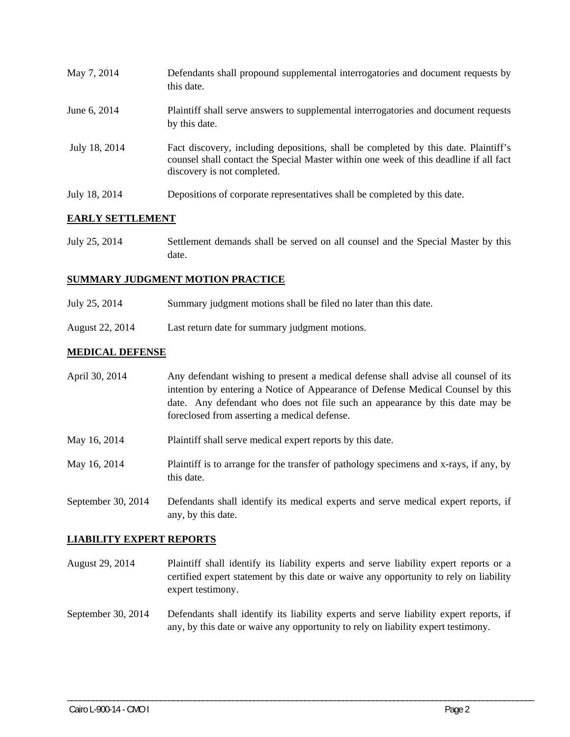| May 7, 2014   | Defendants shall propound supplemental interrogatories and document requests by<br>this date.                                                                                                               |
|---------------|-------------------------------------------------------------------------------------------------------------------------------------------------------------------------------------------------------------|
| June 6, 2014  | Plaintiff shall serve answers to supplemental interrogatories and document requests<br>by this date.                                                                                                        |
| July 18, 2014 | Fact discovery, including depositions, shall be completed by this date. Plaintiff's<br>counsel shall contact the Special Master within one week of this deadline if all fact<br>discovery is not completed. |
| July 18, 2014 | Depositions of corporate representatives shall be completed by this date.                                                                                                                                   |

## **EARLY SETTLEMENT**

July 25, 2014 Settlement demands shall be served on all counsel and the Special Master by this date.

## **SUMMARY JUDGMENT MOTION PRACTICE**

- July 25, 2014 Summary judgment motions shall be filed no later than this date.
- August 22, 2014 Last return date for summary judgment motions.

any, by this date.

## **MEDICAL DEFENSE**

| April 30, 2014     | Any defendant wishing to present a medical defense shall advise all counsel of its<br>intention by entering a Notice of Appearance of Defense Medical Counsel by this<br>date. Any defendant who does not file such an appearance by this date may be<br>foreclosed from asserting a medical defense. |
|--------------------|-------------------------------------------------------------------------------------------------------------------------------------------------------------------------------------------------------------------------------------------------------------------------------------------------------|
| May 16, 2014       | Plaintiff shall serve medical expert reports by this date.                                                                                                                                                                                                                                            |
| May 16, 2014       | Plaintiff is to arrange for the transfer of pathology specimens and x-rays, if any, by<br>this date.                                                                                                                                                                                                  |
| September 30, 2014 | Defendants shall identify its medical experts and serve medical expert reports, if                                                                                                                                                                                                                    |

### **LIABILITY EXPERT REPORTS**

- August 29, 2014 Plaintiff shall identify its liability experts and serve liability expert reports or a certified expert statement by this date or waive any opportunity to rely on liability expert testimony.
- September 30, 2014 Defendants shall identify its liability experts and serve liability expert reports, if any, by this date or waive any opportunity to rely on liability expert testimony.

\_\_\_\_\_\_\_\_\_\_\_\_\_\_\_\_\_\_\_\_\_\_\_\_\_\_\_\_\_\_\_\_\_\_\_\_\_\_\_\_\_\_\_\_\_\_\_\_\_\_\_\_\_\_\_\_\_\_\_\_\_\_\_\_\_\_\_\_\_\_\_\_\_\_\_\_\_\_\_\_\_\_\_\_\_\_\_\_\_\_\_\_\_\_\_\_\_\_\_\_\_\_\_\_\_\_\_\_\_\_